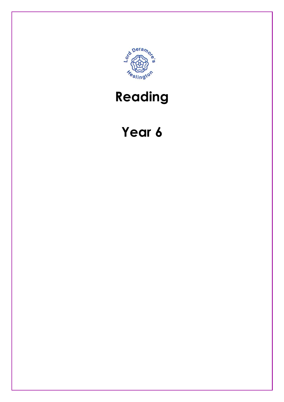

## Reading

## Year 6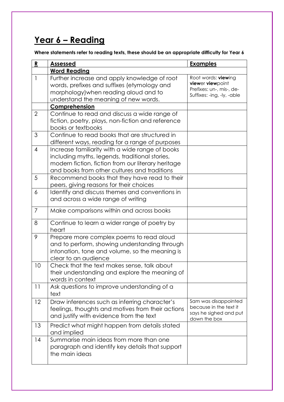## Year 6 - Reading

Where statements refer to reading texts, these should be an appropriate difficulty for Year 6

| R              | <b>Assessed</b>                                                                                                                                                                                         | <b>Examples</b>                                                                                   |
|----------------|---------------------------------------------------------------------------------------------------------------------------------------------------------------------------------------------------------|---------------------------------------------------------------------------------------------------|
|                | <b>Word Reading</b>                                                                                                                                                                                     |                                                                                                   |
| 1              | Further increase and apply knowledge of root<br>words, prefixes and suffixes (etymology and<br>morphology) when reading aloud and to<br>understand the meaning of new words.                            | Root words: viewing<br>viewer viewpoint<br>Prefixes: un-, mis-, de-<br>Suffixes: -ing, -ly, -able |
|                | Comprehension                                                                                                                                                                                           |                                                                                                   |
| $\overline{2}$ | Continue to read and discuss a wide range of<br>fiction, poetry, plays, non-fiction and reference<br>books or textbooks                                                                                 |                                                                                                   |
| 3              | Continue to read books that are structured in<br>different ways, reading for a range of purposes                                                                                                        |                                                                                                   |
| $\overline{4}$ | Increase familiarity with a wide range of books<br>including myths, legends, traditional stories,<br>modern fiction, fiction from our literary heritage<br>and books from other cultures and traditions |                                                                                                   |
| 5              | Recommend books that they have read to their<br>peers, giving reasons for their choices                                                                                                                 |                                                                                                   |
| 6              | Identify and discuss themes and conventions in<br>and across a wide range of writing                                                                                                                    |                                                                                                   |
| $\overline{7}$ | Make comparisons within and across books                                                                                                                                                                |                                                                                                   |
| 8              | Continue to learn a wider range of poetry by<br>heart                                                                                                                                                   |                                                                                                   |
| 9              | Prepare more complex poems to read aloud<br>and to perform, showing understanding through<br>intonation, tone and volume, so the meaning is<br>clear to an audience                                     |                                                                                                   |
| 10             | Check that the text makes sense, talk about<br>their understanding and explore the meaning of<br>words in context                                                                                       |                                                                                                   |
| 11             | Ask questions to improve understanding of a<br>text                                                                                                                                                     |                                                                                                   |
| 12             | Draw inferences such as inferring character's<br>feelings, thoughts and motives from their actions<br>and justify with evidence from the text                                                           | Sam was disappointed<br>because in the text it<br>says he sighed and put<br>down the box          |
| 13             | Predict what might happen from details stated<br>and implied                                                                                                                                            |                                                                                                   |
| 14             | Summarise main ideas from more than one<br>paragraph and identify key details that support<br>the main ideas                                                                                            |                                                                                                   |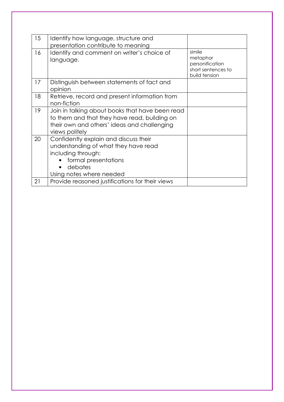| 15 | Identify how language, structure and<br>presentation contribute to meaning                                                                                         |                                                                              |
|----|--------------------------------------------------------------------------------------------------------------------------------------------------------------------|------------------------------------------------------------------------------|
| 16 | Identify and comment on writer's choice of<br>language.                                                                                                            | simile<br>metaphor<br>personification<br>short sentences to<br>build tension |
| 17 | Distinguish between statements of fact and<br>opinion                                                                                                              |                                                                              |
| 18 | Retrieve, record and present information from<br>non-fiction                                                                                                       |                                                                              |
| 19 | Join in talking about books that have been read<br>to them and that they have read, building on<br>their own and others' ideas and challenging<br>views politely   |                                                                              |
| 20 | Confidently explain and discuss their<br>understanding of what they have read<br>including through:<br>formal presentations<br>debates<br>Using notes where needed |                                                                              |
| 21 | Provide reasoned justifications for their views                                                                                                                    |                                                                              |